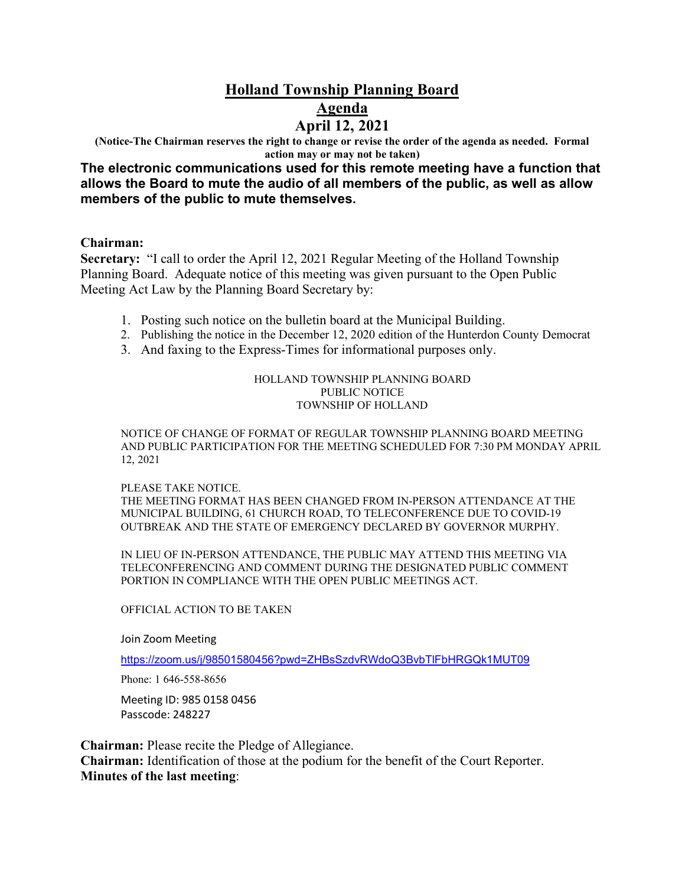# **Holland Township Planning Board Agenda April 12, 2021**

**(Notice-The Chairman reserves the right to change or revise the order of the agenda as needed. Formal action may or may not be taken)**

**The electronic communications used for this remote meeting have a function that allows the Board to mute the audio of all members of the public, as well as allow members of the public to mute themselves.**

### **Chairman:**

**Secretary:** "I call to order the April 12, 2021 Regular Meeting of the Holland Township Planning Board. Adequate notice of this meeting was given pursuant to the Open Public Meeting Act Law by the Planning Board Secretary by:

- 1. Posting such notice on the bulletin board at the Municipal Building.
- 2. Publishing the notice in the December 12, 2020 edition of the Hunterdon County Democrat
- 3. And faxing to the Express-Times for informational purposes only.

#### HOLLAND TOWNSHIP PLANNING BOARD PUBLIC NOTICE TOWNSHIP OF HOLLAND

NOTICE OF CHANGE OF FORMAT OF REGULAR TOWNSHIP PLANNING BOARD MEETING AND PUBLIC PARTICIPATION FOR THE MEETING SCHEDULED FOR 7:30 PM MONDAY APRIL 12, 2021

#### PLEASE TAKE NOTICE.

THE MEETING FORMAT HAS BEEN CHANGED FROM IN-PERSON ATTENDANCE AT THE MUNICIPAL BUILDING, 61 CHURCH ROAD, TO TELECONFERENCE DUE TO COVID-19 OUTBREAK AND THE STATE OF EMERGENCY DECLARED BY GOVERNOR MURPHY.

IN LIEU OF IN-PERSON ATTENDANCE, THE PUBLIC MAY ATTEND THIS MEETING VIA TELECONFERENCING AND COMMENT DURING THE DESIGNATED PUBLIC COMMENT PORTION IN COMPLIANCE WITH THE OPEN PUBLIC MEETINGS ACT.

#### OFFICIAL ACTION TO BE TAKEN

Join Zoom Meeting

<https://zoom.us/j/98501580456?pwd=ZHBsSzdvRWdoQ3BvbTlFbHRGQk1MUT09>

Phone: 1 646-558-8656

Meeting ID: 985 0158 0456 Passcode: 248227

**Chairman:** Please recite the Pledge of Allegiance. **Chairman:** Identification of those at the podium for the benefit of the Court Reporter. **Minutes of the last meeting**: